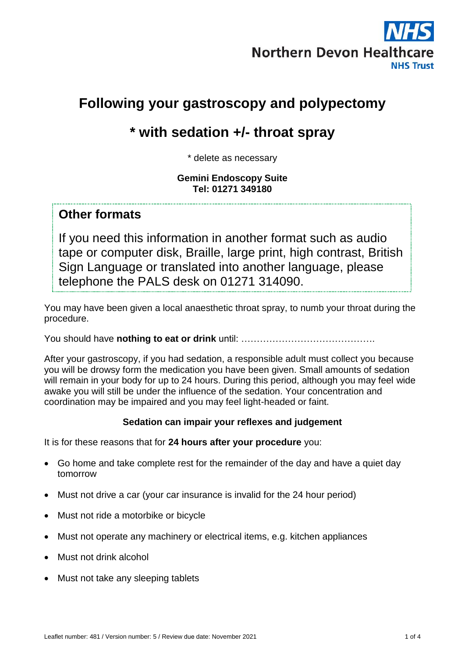

# **Following your gastroscopy and polypectomy**

# **\* with sedation +/- throat spray**

\* delete as necessary

**Gemini Endoscopy Suite Tel: 01271 349180** 

#### **Other formats**

If you need this information in another format such as audio tape or computer disk, Braille, large print, high contrast, British Sign Language or translated into another language, please telephone the PALS desk on 01271 314090.

You may have been given a local anaesthetic throat spray, to numb your throat during the procedure.

You should have **nothing to eat or drink** until: …………………………………….

After your gastroscopy, if you had sedation, a responsible adult must collect you because you will be drowsy form the medication you have been given. Small amounts of sedation will remain in your body for up to 24 hours. During this period, although you may feel wide awake you will still be under the influence of the sedation. Your concentration and coordination may be impaired and you may feel light-headed or faint.

#### **Sedation can impair your reflexes and judgement**

It is for these reasons that for **24 hours after your procedure** you:

- Go home and take complete rest for the remainder of the day and have a quiet day tomorrow
- Must not drive a car (your car insurance is invalid for the 24 hour period)
- Must not ride a motorbike or bicycle
- Must not operate any machinery or electrical items, e.g. kitchen appliances
- Must not drink alcohol
- Must not take any sleeping tablets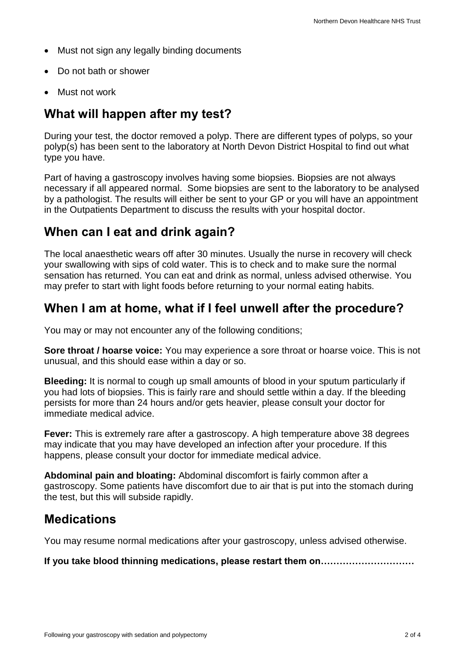- Must not sign any legally binding documents
- Do not bath or shower
- $\bullet$  Must not work

## **What will happen after my test?**

During your test, the doctor removed a polyp. There are different types of polyps, so your polyp(s) has been sent to the laboratory at North Devon District Hospital to find out what type you have.

Part of having a gastroscopy involves having some biopsies. Biopsies are not always necessary if all appeared normal. Some biopsies are sent to the laboratory to be analysed by a pathologist. The results will either be sent to your GP or you will have an appointment in the Outpatients Department to discuss the results with your hospital doctor.

### **When can I eat and drink again?**

The local anaesthetic wears off after 30 minutes. Usually the nurse in recovery will check your swallowing with sips of cold water. This is to check and to make sure the normal sensation has returned. You can eat and drink as normal, unless advised otherwise. You may prefer to start with light foods before returning to your normal eating habits.

### **When I am at home, what if I feel unwell after the procedure?**

You may or may not encounter any of the following conditions;

**Sore throat / hoarse voice:** You may experience a sore throat or hoarse voice. This is not unusual, and this should ease within a day or so.

**Bleeding:** It is normal to cough up small amounts of blood in your sputum particularly if you had lots of biopsies. This is fairly rare and should settle within a day. If the bleeding persists for more than 24 hours and/or gets heavier, please consult your doctor for immediate medical advice.

**Fever:** This is extremely rare after a gastroscopy. A high temperature above 38 degrees may indicate that you may have developed an infection after your procedure. If this happens, please consult your doctor for immediate medical advice.

**Abdominal pain and bloating:** Abdominal discomfort is fairly common after a gastroscopy. Some patients have discomfort due to air that is put into the stomach during the test, but this will subside rapidly.

### **Medications**

You may resume normal medications after your gastroscopy, unless advised otherwise.

**If you take blood thinning medications, please restart them on…………………………**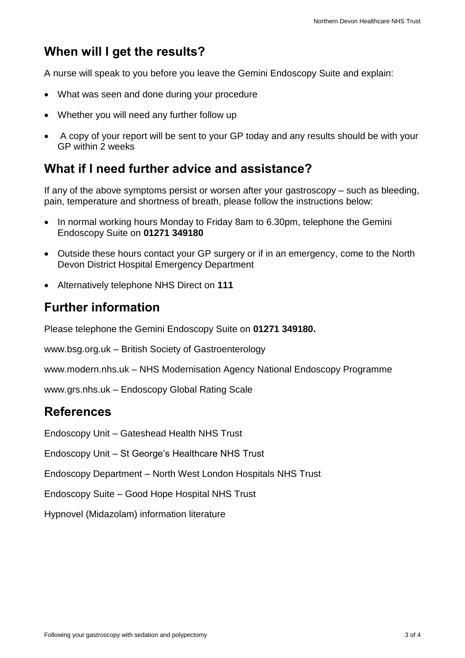## **When will I get the results?**

A nurse will speak to you before you leave the Gemini Endoscopy Suite and explain:

- What was seen and done during your procedure
- Whether you will need any further follow up
- A copy of your report will be sent to your GP today and any results should be with your GP within 2 weeks

## **What if I need further advice and assistance?**

If any of the above symptoms persist or worsen after your gastroscopy – such as bleeding, pain, temperature and shortness of breath, please follow the instructions below:

- In normal working hours Monday to Friday 8am to 6.30pm, telephone the Gemini Endoscopy Suite on **01271 349180**
- Outside these hours contact your GP surgery or if in an emergency, come to the North Devon District Hospital Emergency Department
- Alternatively telephone NHS Direct on **111**

## **Further information**

Please telephone the Gemini Endoscopy Suite on **01271 349180.**

[www.bsg.org.uk](http://www.bsg.org.uk/) – British Society of Gastroenterology

[www.modern.nhs.uk](http://www.modern.nhs.uk/) – NHS Modernisation Agency National Endoscopy Programme

[www.grs.nhs.uk](http://www.grs.nhs.uk/) – Endoscopy Global Rating Scale

### **References**

Endoscopy Unit – Gateshead Health NHS Trust

Endoscopy Unit – St George's Healthcare NHS Trust

Endoscopy Department – North West London Hospitals NHS Trust

Endoscopy Suite – Good Hope Hospital NHS Trust

Hypnovel (Midazolam) information literature